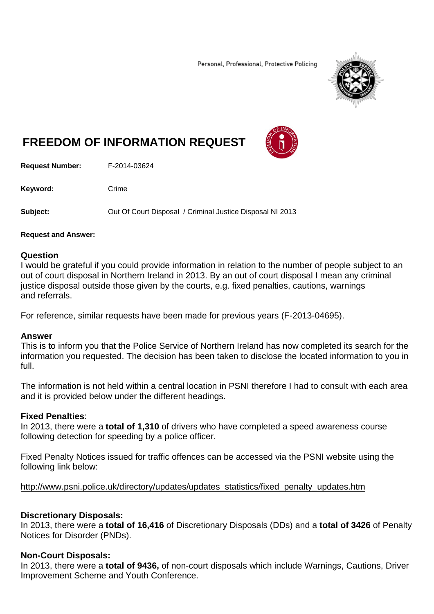Personal, Professional, Protective Policing



# **FREEDOM OF INFORMATION REQUEST**



**Request Number:** F-2014-03624

Keyword: Crime

**Subject:** Out Of Court Disposal / Criminal Justice Disposal NI 2013

#### **Request and Answer:**

#### **Question**

I would be grateful if you could provide information in relation to the number of people subject to an out of court disposal in Northern Ireland in 2013. By an out of court disposal I mean any criminal justice disposal outside those given by the courts, e.g. fixed penalties, cautions, warnings and referrals.

For reference, similar requests have been made for previous years (F-2013-04695).

## **Answer**

This is to inform you that the Police Service of Northern Ireland has now completed its search for the information you requested. The decision has been taken to disclose the located information to you in full.

The information is not held within a central location in PSNI therefore I had to consult with each area and it is provided below under the different headings.

## **Fixed Penalties**:

In 2013, there were a **total of 1,310** of drivers who have completed a speed awareness course following detection for speeding by a police officer.

Fixed Penalty Notices issued for traffic offences can be accessed via the PSNI website using the following link below:

http://www.psni.police.uk/directory/updates/updates\_statistics/fixed\_penalty\_updates.htm

## **Discretionary Disposals:**

In 2013, there were a **total of 16,416** of Discretionary Disposals (DDs) and a **total of 3426** of Penalty Notices for Disorder (PNDs).

## **Non-Court Disposals:**

In 2013, there were a **total of 9436,** of non-court disposals which include Warnings, Cautions, Driver Improvement Scheme and Youth Conference.